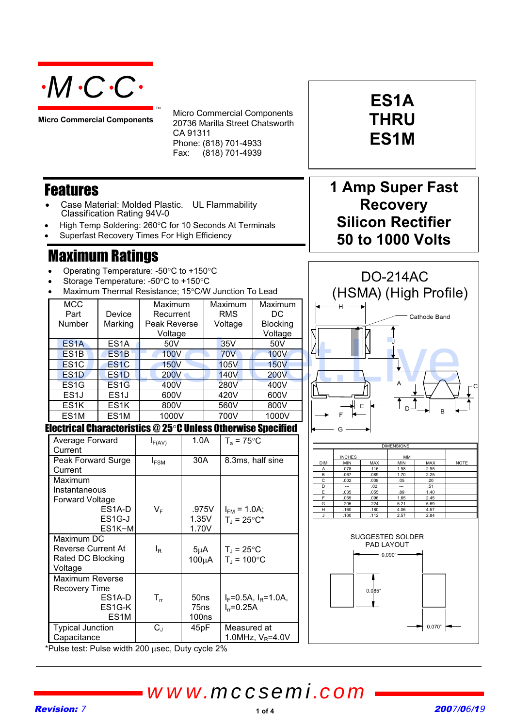

**Micro Commercial Components**

Micro Commercial Components 20736 Marilla Street Chatsworth CA 91311 Phone: (818) 701-4933 Fax: (818) 701-4939

#### Features

- Case Material: Molded Plastic. UL Flammability Classification Rating 94V-0
- High Temp Soldering: 260°C for 10 Seconds At Terminals

TM

Superfast Recovery Times For High Efficiency

#### Maximum Ratings

- Operating Temperature: -50°C to +150°C
- Storage Temperature: -50°C to +150°C
- Maximum Thermal Resistance: 15°C/W Junction To Lead

| <b>MCC</b><br>Part | Device            | Maximum<br>Recurrent | Maximum<br><b>RMS</b> | Maximum<br>DC.  |  |  |
|--------------------|-------------------|----------------------|-----------------------|-----------------|--|--|
| Number             | Marking           | Peak Reverse         | Voltage               | <b>Blocking</b> |  |  |
|                    |                   | Voltage              |                       | Voltage         |  |  |
| ES <sub>1</sub> A  | ES <sub>1</sub> A | 50V                  | 35V                   | 50V             |  |  |
| ES <sub>1</sub> B  | ES <sub>1</sub> B | <b>100V</b>          | <b>70V</b>            | <b>100V</b>     |  |  |
| ES <sub>1</sub> C  | ES <sub>1</sub> C | <b>150V</b>          | 105V                  | <b>150V</b>     |  |  |
| ES <sub>1</sub> D  | ES <sub>1</sub> D | <b>200V</b>          | <b>140V</b>           | <b>200V</b>     |  |  |
| ES <sub>1</sub> G  | ES <sub>1</sub> G | 400V                 | 280V                  | 400V            |  |  |
| ES <sub>1</sub> J  | ES <sub>1</sub> J | 600V                 | 420V                  | 600V            |  |  |
| ES <sub>1</sub> K  | ES <sub>1</sub> K | 800V                 | 560V                  | 800V            |  |  |
| ES <sub>1</sub> M  | ES <sub>1</sub> M | 1000V                | 700V                  | 1000V           |  |  |

# **Recovery Silicon Rectifier 50 to 1000 Volts** DO-214AC

**ES1A**

**THRU**

**ES1M**

**1 Amp Super Fast** 



### Electrical Characteristics  $@25^\circ \text{C}$  Unless Otherwise Specified

|                                                               |                                                         |             | voltage          |                           | voltage                                                     |                     |  |                     |                                  |                                                     |                   |                    |                |  |
|---------------------------------------------------------------|---------------------------------------------------------|-------------|------------------|---------------------------|-------------------------------------------------------------|---------------------|--|---------------------|----------------------------------|-----------------------------------------------------|-------------------|--------------------|----------------|--|
| ES <sub>1</sub> A                                             | ES <sub>1</sub> A                                       | 50V         |                  |                           | 35V                                                         | 50V                 |  |                     |                                  |                                                     |                   |                    |                |  |
| ES <sub>1</sub> B                                             | ES <sub>1</sub> B                                       | <b>100V</b> |                  |                           | <b>70V</b>                                                  | <b>100V</b>         |  |                     |                                  |                                                     |                   |                    |                |  |
| ES <sub>1</sub> C                                             | ES <sub>1</sub> C                                       | <b>150V</b> |                  |                           | <b>105V</b>                                                 | <b>150V</b>         |  |                     |                                  |                                                     |                   |                    |                |  |
| ES <sub>1</sub> D                                             | ES <sub>1</sub> D                                       | <b>200V</b> |                  |                           | <b>140V</b>                                                 | <b>200V</b>         |  |                     |                                  |                                                     |                   |                    |                |  |
| ES <sub>1</sub> G                                             | ES <sub>1</sub> G                                       | 400V        |                  |                           | <b>280V</b>                                                 | 400V                |  |                     |                                  |                                                     | А                 |                    |                |  |
| ES <sub>1</sub>                                               | ES <sub>1</sub>                                         | 600V        |                  |                           | 420V                                                        | 600V                |  |                     |                                  |                                                     |                   |                    |                |  |
| ES <sub>1</sub> K                                             | ES <sub>1</sub> K                                       | 800V        |                  |                           | 560V                                                        | 800V                |  |                     |                                  | $\mathsf{E}% _{\mathsf{H}}\left( \mathsf{E}\right)$ |                   |                    |                |  |
| ES <sub>1</sub> M                                             | ES <sub>1</sub> M                                       | 1000V       |                  |                           | 700V                                                        | 1000V               |  |                     |                                  |                                                     |                   | B                  |                |  |
| lectrical Characteristics $@$ 25°C Unless Otherwise Specified |                                                         |             |                  |                           |                                                             |                     |  |                     |                                  |                                                     |                   |                    |                |  |
| Average Forward                                               |                                                         | $I_{F(AV)}$ | 1.0A             |                           | $T_a = 75$ °C                                               |                     |  |                     |                                  |                                                     | <b>DIMENSIONS</b> |                    |                |  |
| Current                                                       |                                                         |             |                  |                           |                                                             |                     |  |                     | <b>INCHES</b>                    |                                                     | MM                |                    |                |  |
| Peak Forward Surge                                            |                                                         | $I_{FSM}$   | 30A              |                           |                                                             | 8.3ms, half sine    |  | <b>DIM</b>          | MIN<br>.078                      | MAX<br>.116                                         | MIN<br>1.98       | <b>MAX</b><br>2.95 | N <sub>C</sub> |  |
| Current                                                       |                                                         |             |                  |                           |                                                             |                     |  | Α<br>B              | .067                             | .089                                                | 1.70              | 2.25               |                |  |
| Maximum                                                       |                                                         |             |                  |                           |                                                             |                     |  | $\overline{c}$<br>D | .002<br>$\overline{\phantom{a}}$ | .008<br>.02                                         | .05<br>--         | .20<br>.51         |                |  |
| Instantaneous                                                 |                                                         |             |                  |                           |                                                             |                     |  | E<br>F              | .035<br>.065                     | .055<br>.096                                        | .89<br>1.65       | 1.40<br>2.45       |                |  |
| Forward Voltage                                               |                                                         |             |                  |                           |                                                             |                     |  | G                   | 205                              | 224                                                 | 5.21              | 5.69               |                |  |
|                                                               | ES1A-D                                                  | $V_F$       |                  | .975V<br>$I_{FM}$ = 1.0A; |                                                             |                     |  | н<br>J.             | .160<br>100                      | 180<br>.112                                         | 4.06<br>2.57      | 4.57<br>2.84       |                |  |
|                                                               | ES <sub>1</sub> G-J                                     |             | 1.35V            |                           | $T_{J} = 25^{\circ}C^{*}$                                   |                     |  |                     |                                  |                                                     |                   |                    |                |  |
| Maximum DC                                                    | ES1K~M                                                  |             | 1.70V            |                           |                                                             |                     |  |                     |                                  | SUGGESTED SOLDER                                    |                   |                    |                |  |
|                                                               |                                                         |             |                  |                           |                                                             |                     |  |                     |                                  |                                                     | PAD LAYOUT        |                    |                |  |
|                                                               | <b>Reverse Current At</b><br>$I_R$<br>Rated DC Blocking |             | $5\mu A$         |                           | $T_{\rm J}$ = 25 $^{\circ}$ C<br>$T_{J}$ = 100 $^{\circ}$ C |                     |  | 0.090"              |                                  |                                                     |                   |                    |                |  |
| Voltage                                                       |                                                         |             | $100\mu A$       |                           |                                                             |                     |  |                     |                                  |                                                     |                   |                    |                |  |
| Maximum Reverse                                               |                                                         |             |                  |                           |                                                             |                     |  |                     |                                  |                                                     |                   |                    |                |  |
| <b>Recovery Time</b>                                          |                                                         |             |                  |                           |                                                             |                     |  |                     |                                  |                                                     |                   |                    |                |  |
|                                                               | ES <sub>1</sub> A-D                                     | $T_{rr}$    | 50 <sub>ns</sub> |                           | $I_F = 0.5A$ , $I_R = 1.0A$ ,                               |                     |  |                     | 0.085"                           |                                                     |                   |                    |                |  |
|                                                               | ES1G-K                                                  |             | 75 <sub>ns</sub> |                           | $I_{rr} = 0.25A$                                            |                     |  |                     |                                  |                                                     |                   |                    |                |  |
|                                                               | ES <sub>1</sub> M                                       |             | <b>100ns</b>     |                           |                                                             |                     |  |                     |                                  |                                                     |                   |                    |                |  |
| <b>Typical Junction</b>                                       |                                                         | $C_{J}$     | 45pF             |                           | Measured at                                                 |                     |  |                     |                                  |                                                     |                   | 0.070"             |                |  |
| Capacitance                                                   |                                                         |             |                  |                           |                                                             | 1.0MHz, $V_R$ =4.0V |  |                     |                                  |                                                     |                   |                    |                |  |
| Pulse test: Pulse width 200 usec, Duty cycle 2%               |                                                         |             |                  |                           |                                                             |                     |  |                     |                                  |                                                     |                   |                    |                |  |
|                                                               |                                                         |             |                  |                           |                                                             |                     |  |                     |                                  |                                                     |                   |                    |                |  |
|                                                               |                                                         |             |                  |                           |                                                             |                     |  |                     |                                  |                                                     |                   |                    |                |  |
|                                                               |                                                         |             |                  |                           |                                                             |                     |  |                     |                                  |                                                     |                   |                    |                |  |
|                                                               |                                                         |             |                  |                           |                                                             | www.mccsemi.com     |  |                     |                                  |                                                     |                   |                    |                |  |
| vision: 7                                                     |                                                         |             |                  |                           |                                                             |                     |  |                     |                                  |                                                     |                   |                    | 2007/          |  |
|                                                               |                                                         |             |                  |                           |                                                             | 1 of 4              |  |                     |                                  |                                                     |                   |                    |                |  |









## *www.mccsemi.com*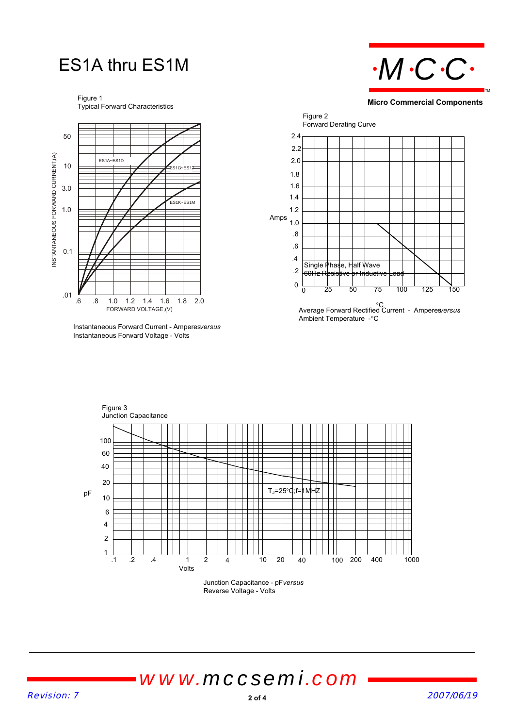### ES1A thru ES1M

Figure 1 Typical Forward Characteristics



Instantaneous Forward Current - Amperes *versus* Instantaneous Forward Voltage - Volts



**Micro Commercial Components**



Ambient Temperature -°C



Reverse Voltage - Volts

*www.mccsemi.com*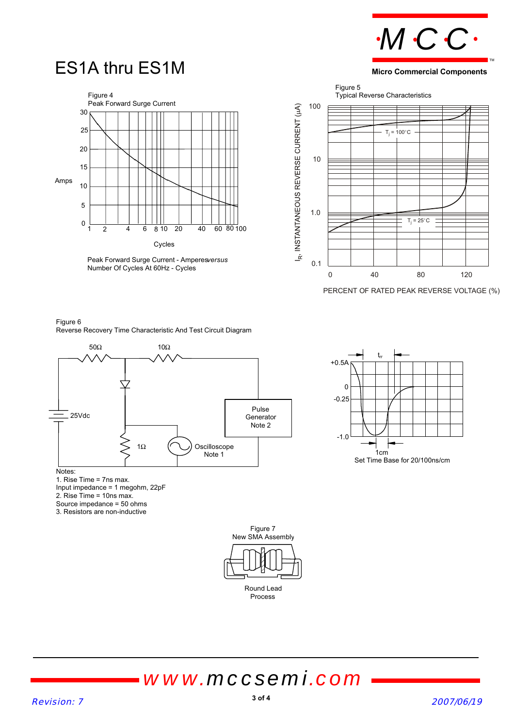

**Micro Commercial Components**

TM

### ES1A thru ES1M



Peak Forward Surge Current - Amperesversus Number Of Cycles At 60Hz - Cycles



PERCENT OF RATED PEAK REVERSE VOLTAGE (%)

#### Figure 6 Reverse Recovery Time Characteristic And Test Circuit Diagram





1. Rise Time = 7ns max. Input impedance = 1 megohm, 22pF 2. Rise Time = 10ns max. Source impedance = 50 ohms 3. Resistors are non-inductive



## *www.mccsemi.com*